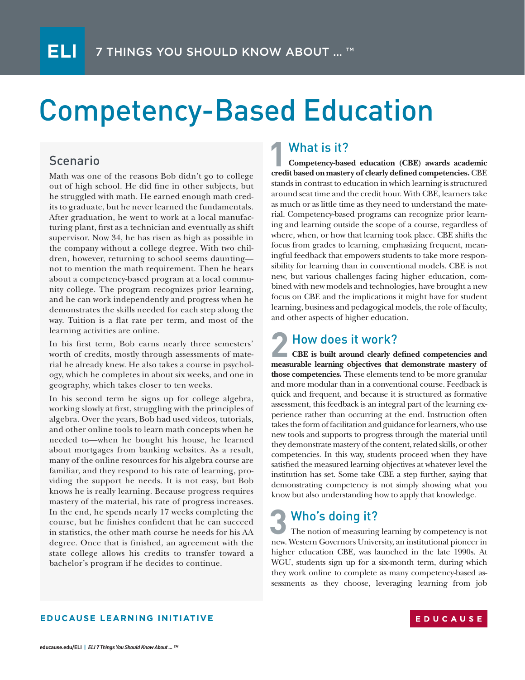# Competency-Based Education

### Scenario

Math was one of the reasons Bob didn't go to college out of high school. He did fine in other subjects, but he struggled with math. He earned enough math credits to graduate, but he never learned the fundamentals. After graduation, he went to work at a local manufacturing plant, first as a technician and eventually as shift supervisor. Now 34, he has risen as high as possible in the company without a college degree. With two children, however, returning to school seems daunting not to mention the math requirement. Then he hears about a competency-based program at a local community college. The program recognizes prior learning, and he can work independently and progress when he demonstrates the skills needed for each step along the way. Tuition is a flat rate per term, and most of the learning activities are online.

In his first term, Bob earns nearly three semesters' worth of credits, mostly through assessments of material he already knew. He also takes a course in psychology, which he completes in about six weeks, and one in geography, which takes closer to ten weeks.

In his second term he signs up for college algebra, working slowly at first, struggling with the principles of algebra. Over the years, Bob had used videos, tutorials, and other online tools to learn math concepts when he needed to—when he bought his house, he learned about mortgages from banking websites. As a result, many of the online resources for his algebra course are familiar, and they respond to his rate of learning, providing the support he needs. It is not easy, but Bob knows he is really learning. Because progress requires mastery of the material, his rate of progress increases. In the end, he spends nearly 17 weeks completing the course, but he finishes confident that he can succeed in statistics, the other math course he needs for his AA degree. Once that is finished, an agreement with the state college allows his credits to transfer toward a bachelor's program if he decides to continue.

### What is it?

**Competency-based education (CBE) awards academic competency-based education (CBE) awards academic credit based on mastery of clearly defined competencies. CBE** stands in contrast to education in which learning is structured around seat time and the credit hour. With CBE, learners take as much or as little time as they need to understand the material. Competency-based programs can recognize prior learning and learning outside the scope of a course, regardless of where, when, or how that learning took place. CBE shifts the focus from grades to learning, emphasizing frequent, meaningful feedback that empowers students to take more responsibility for learning than in conventional models. CBE is not new, but various challenges facing higher education, combined with new models and technologies, have brought a new focus on CBE and the implications it might have for student learning, business and pedagogical models, the role of faculty, and other aspects of higher education.

# **2** How does it work?<br> **2** CBE is built around clearly does

**CBE is built around clearly defined competencies and measurable learning objectives that demonstrate mastery of those competencies.** These elements tend to be more granular and more modular than in a conventional course. Feedback is quick and frequent, and because it is structured as formative assessment, this feedback is an integral part of the learning experience rather than occurring at the end. Instruction often takes the form of facilitation and guidance for learners, who use new tools and supports to progress through the material until they demonstrate mastery of the content, related skills, or other competencies. In this way, students proceed when they have satisfied the measured learning objectives at whatever level the institution has set. Some take CBE a step further, saying that demonstrating competency is not simply showing what you know but also understanding how to apply that knowledge.

#### **3** Who's doing it? The notion of measuring learning by competency is not new. Western Governors University, an institutional pioneer in higher education CBE, was launched in the late 1990s. At WGU, students sign up for a six-month term, during which they work online to complete as many competency-based assessments as they choose, leveraging learning from job

#### **EDUCAUSE LEARNING INITIATIVE**